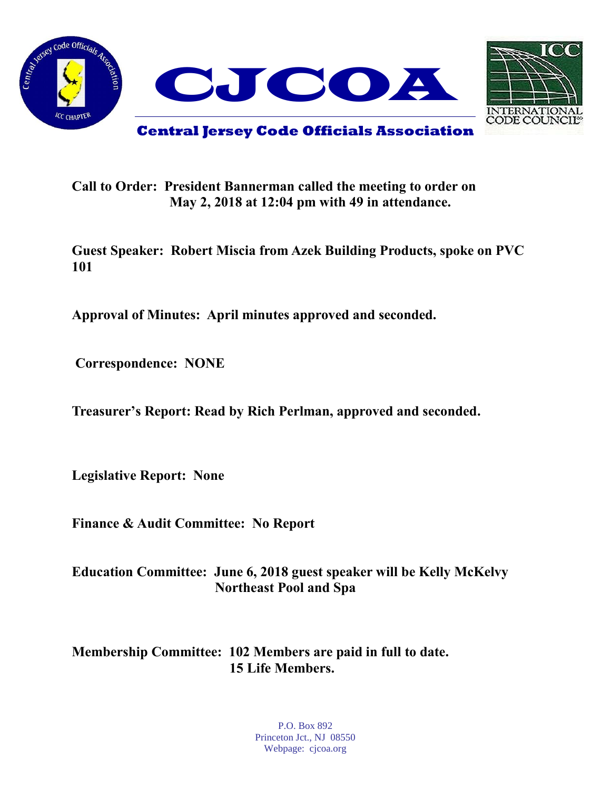



**Call to Order: President Bannerman called the meeting to order on May 2, 2018 at 12:04 pm with 49 in attendance.**

**Guest Speaker: Robert Miscia from Azek Building Products, spoke on PVC 101**

**Approval of Minutes: April minutes approved and seconded.** 

**Correspondence: NONE**

**Treasurer's Report: Read by Rich Perlman, approved and seconded.** 

**Legislative Report: None**

**Finance & Audit Committee: No Report**

**Education Committee: June 6, 2018 guest speaker will be Kelly McKelvy Northeast Pool and Spa** 

**Membership Committee: 102 Members are paid in full to date. 15 Life Members.**

> P.O. Box 892 Princeton Jct., NJ 08550 Webpage: cjcoa.org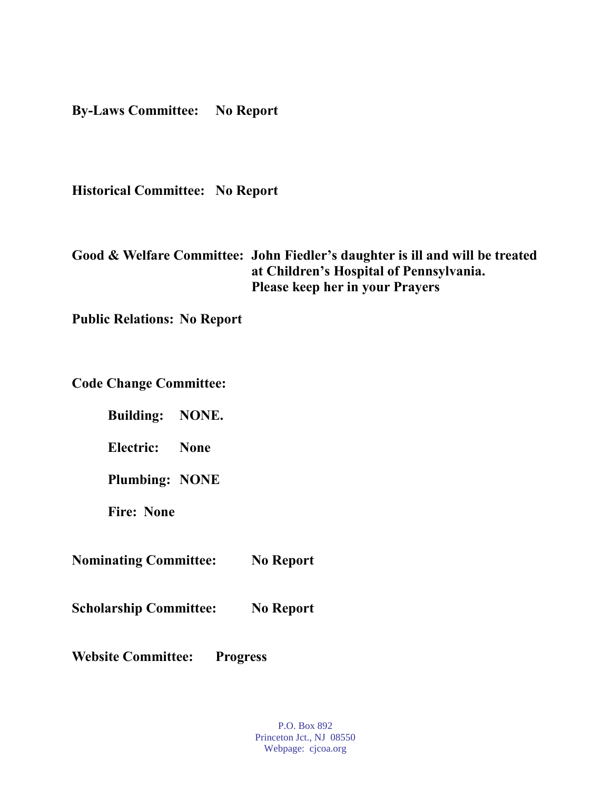**By-Laws Committee: No Report**

**Historical Committee: No Report**

**Good & Welfare Committee: John Fiedler's daughter is ill and will be treated at Children's Hospital of Pennsylvania. Please keep her in your Prayers**

**Public Relations: No Report**

**Code Change Committee:**

**Building: NONE.**

**Electric: None**

**Plumbing: NONE**

**Fire: None**

**Nominating Committee: No Report**

**Scholarship Committee: No Report**

**Website Committee: Progress** 

P.O. Box 892 Princeton Jct., NJ 08550 Webpage: cjcoa.org